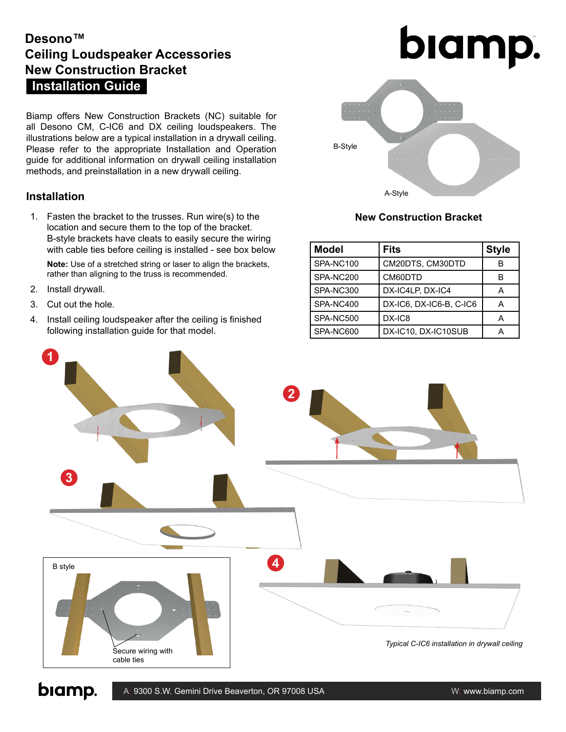## **Installation Guide Desono™ Ceiling Loudspeaker Accessories New Construction Bracket**

Biamp offers New Construction Brackets (NC) suitable for all Desono CM, C-IC6 and DX ceiling loudspeakers. The illustrations below are a typical installation in a drywall ceiling. Please refer to the appropriate Installation and Operation guide for additional information on drywall ceiling installation methods, and preinstallation in a new drywall ceiling.

### **Installation**

1. Fasten the bracket to the trusses. Run wire(s) to the location and secure them to the top of the bracket. B-style brackets have cleats to easily secure the wiring with cable ties before ceiling is installed - see box below

**Note:** Use of a stretched string or laser to align the brackets, rather than aligning to the truss is recommended.

- 2. Install drywall.
- 3. Cut out the hole.
- 4. Install ceiling loudspeaker after the ceiling is finished following installation guide for that model.





### **New Construction Bracket**

| <b>Model</b> | Fits                    | <b>Style</b> |
|--------------|-------------------------|--------------|
| SPA-NC100    | CM20DTS, CM30DTD        | R            |
| SPA-NC200    | CM60DTD                 | в            |
| SPA-NC300    | DX-IC4LP, DX-IC4        | А            |
| SPA-NC400    | DX-IC6, DX-IC6-B, C-IC6 | А            |
| SPA-NC500    | DX-IC8                  | А            |
| SPA-NC600    | DX-IC10, DX-IC10SUB     |              |



biamp.

A: 9300 S.W. Gemini Drive Beaverton, OR 97008 USA W: www.biamp.com